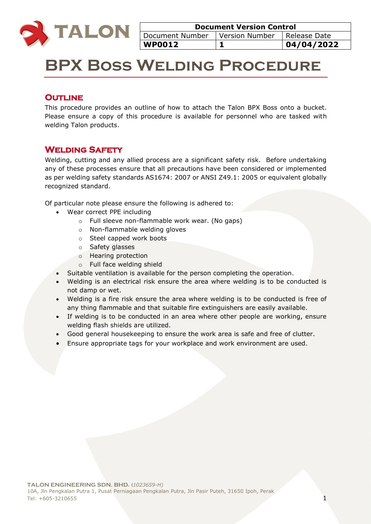

| <b>Document Version Control</b>                    |  |  |  |  |
|----------------------------------------------------|--|--|--|--|
| Document Number   Version Number<br>  Release Date |  |  |  |  |
| 04/04/2022<br><b>WP0012</b>                        |  |  |  |  |

# **BPX Boss Welding Procedure**

## **OUTLINE**

This procedure provides an outline of how to attach the Talon BPX Boss onto a bucket. Please ensure a copy of this procedure is available for personnel who are tasked with welding Talon products.

# **Welding Safety**

Welding, cutting and any allied process are a significant safety risk. Before undertaking any of these processes ensure that all precautions have been considered or implemented as per welding safety standards AS1674: 2007 or ANSI Z49.1: 2005 or equivalent globally recognized standard.

Of particular note please ensure the following is adhered to:

- Wear correct PPE including
	- o Full sleeve non-flammable work wear. (No gaps)
	- o Non-flammable welding gloves
	- o Steel capped work boots
	- o Safety glasses
	- o Hearing protection
	- o Full face welding shield
- Suitable ventilation is available for the person completing the operation.
- Welding is an electrical risk ensure the area where welding is to be conducted is not damp or wet.
- Welding is a fire risk ensure the area where welding is to be conducted is free of any thing flammable and that suitable fire extinguishers are easily available.
- If welding is to be conducted in an area where other people are working, ensure welding flash shields are utilized.
- Good general housekeeping to ensure the work area is safe and free of clutter.
- Ensure appropriate tags for your workplace and work environment are used.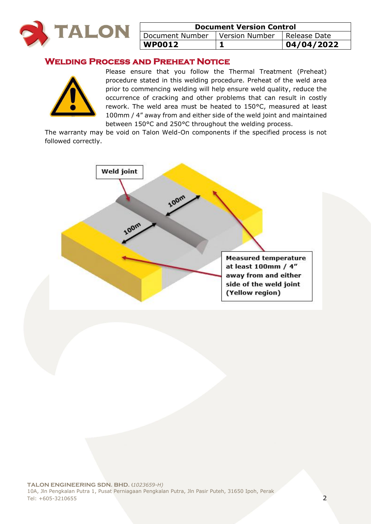

| <b>Document Version Control</b>                  |  |            |  |
|--------------------------------------------------|--|------------|--|
| Document Number   Version Number<br>Release Date |  |            |  |
| <b>WP0012</b>                                    |  | 04/04/2022 |  |

## **Welding Process and Preheat Notice**



Please ensure that you follow the Thermal Treatment (Preheat) procedure stated in this welding procedure. Preheat of the weld area prior to commencing welding will help ensure weld quality, reduce the occurrence of cracking and other problems that can result in costly rework. The weld area must be heated to 150°C, measured at least 100mm / 4" away from and either side of the weld joint and maintained between 150°C and 250°C throughout the welding process.

The warranty may be void on Talon Weld-On components if the specified process is not followed correctly.

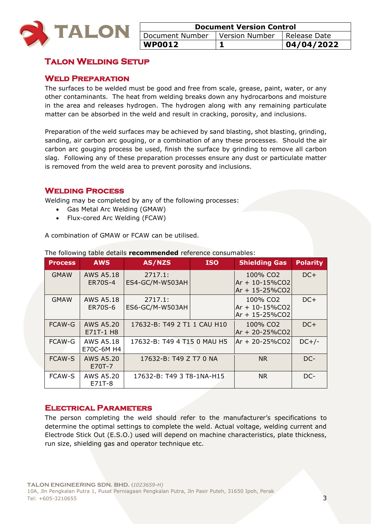

| <b>Document Version Control</b>                  |  |  |  |
|--------------------------------------------------|--|--|--|
| Version Number   Release Date<br>Document Number |  |  |  |
| 104/04/2022<br><b>WP0012</b>                     |  |  |  |

# **Talon Welding Setup**

#### **Weld Preparation**

The surfaces to be welded must be good and free from scale, grease, paint, water, or any other contaminants. The heat from welding breaks down any hydrocarbons and moisture in the area and releases hydrogen. The hydrogen along with any remaining particulate matter can be absorbed in the weld and result in cracking, porosity, and inclusions.

Preparation of the weld surfaces may be achieved by sand blasting, shot blasting, grinding, sanding, air carbon arc gouging, or a combination of any these processes. Should the air carbon arc gouging process be used, finish the surface by grinding to remove all carbon slag. Following any of these preparation processes ensure any dust or particulate matter is removed from the weld area to prevent porosity and inclusions.

#### **Welding Process**

Welding may be completed by any of the following processes:

- Gas Metal Arc Welding (GMAW)
- Flux-cored Arc Welding (FCAW)

A combination of GMAW or FCAW can be utilised.

| <b>Process</b> | <b>AWS</b>                         | AS/NZS                      | <b>ISO</b> | <b>Shielding Gas</b>                                               | <b>Polarity</b> |
|----------------|------------------------------------|-----------------------------|------------|--------------------------------------------------------------------|-----------------|
| <b>GMAW</b>    | <b>AWS A5.18</b><br><b>ER70S-4</b> | 2717.1:<br>ES4-GC/M-W503AH  |            | 100% CO <sub>2</sub><br>$Ar + 10 - 15\%CO2$<br>Ar + 15-25%CO2      | $DC+$           |
| <b>GMAW</b>    | AWS A5.18<br>ER70S-6               | 2717.1:<br>ES6-GC/M-W503AH  |            | 100% CO <sub>2</sub><br>$Ar + 10 - 15\%CO2$<br>$Ar + 15 - 25\%CO2$ | $DC+$           |
| <b>FCAW-G</b>  | <b>AWS A5.20</b><br>E71T-1 H8      | 17632-B: T49 2 T1 1 CAU H10 |            | 100% CO <sub>2</sub><br>Ar + 20-25%CO2                             | $DC+$           |
| FCAW-G         | <b>AWS A5.18</b><br>E70C-6M H4     | 17632-B: T49 4 T15 0 MAU H5 |            | $Ar + 20 - 25\%CO2$                                                | $DC+/-$         |
| <b>FCAW-S</b>  | <b>AWS A5.20</b><br>E70T-7         | 17632-B: T49 Z T7 0 NA      |            | N <sub>R</sub>                                                     | DC-             |
| <b>FCAW-S</b>  | AWS A5.20<br>E71T-8                | 17632-B: T49 3 T8-1NA-H15   |            | NR.                                                                | DC-             |

The following table details **recommended** reference consumables:

#### **Electrical Parameters**

The person completing the weld should refer to the manufacturer's specifications to determine the optimal settings to complete the weld. Actual voltage, welding current and Electrode Stick Out (E.S.O.) used will depend on machine characteristics, plate thickness, run size, shielding gas and operator technique etc.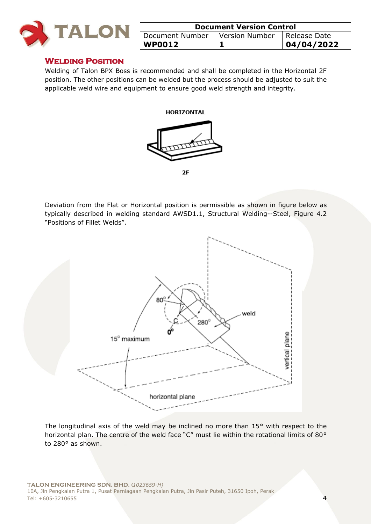

| <b>Document Version Control</b>                    |  |            |  |
|----------------------------------------------------|--|------------|--|
| Document Number   Version Number<br>I Release Date |  |            |  |
| WP0012                                             |  | 04/04/2022 |  |

#### **Welding Position**

Welding of Talon BPX Boss is recommended and shall be completed in the Horizontal 2F position. The other positions can be welded but the process should be adjusted to suit the applicable weld wire and equipment to ensure good weld strength and integrity.





 $2F$ 

Deviation from the Flat or Horizontal position is permissible as shown in figure below as typically described in welding standard AWSD1.1, Structural Welding--Steel, Figure 4.2 "Positions of Fillet Welds".



The longitudinal axis of the weld may be inclined no more than 15° with respect to the horizontal plan. The centre of the weld face "C" must lie within the rotational limits of 80° to 280° as shown.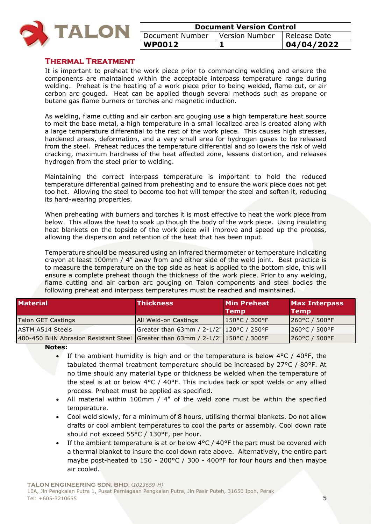

| <b>Document Version Control</b>                     |  |            |  |
|-----------------------------------------------------|--|------------|--|
| Version Number<br>Document Number<br>I Release Date |  |            |  |
| <b>WP0012</b>                                       |  | 04/04/2022 |  |

#### **Thermal Treatment**

It is important to preheat the work piece prior to commencing welding and ensure the components are maintained within the acceptable interpass temperature range during welding. Preheat is the heating of a work piece prior to being welded, flame cut, or air carbon arc gouged. Heat can be applied though several methods such as propane or butane gas flame burners or torches and magnetic induction.

As welding, flame cutting and air carbon arc gouging use a high temperature heat source to melt the base metal, a high temperature in a small localized area is created along with a large temperature differential to the rest of the work piece. This causes high stresses, hardened areas, deformation, and a very small area for hydrogen gases to be released from the steel. Preheat reduces the temperature differential and so lowers the risk of weld cracking, maximum hardness of the heat affected zone, lessens distortion, and releases hydrogen from the steel prior to welding.

Maintaining the correct interpass temperature is important to hold the reduced temperature differential gained from preheating and to ensure the work piece does not get too hot. Allowing the steel to become too hot will temper the steel and soften it, reducing its hard-wearing properties.

When preheating with burners and torches it is most effective to heat the work piece from below. This allows the heat to soak up though the body of the work piece. Using insulating heat blankets on the topside of the work piece will improve and speed up the process, allowing the dispersion and retention of the heat that has been input.

Temperature should be measured using an infrared thermometer or temperature indicating crayon at least 100mm / 4" away from and either side of the weld joint. Best practice is to measure the temperature on the top side as heat is applied to the bottom side, this will ensure a complete preheat though the thickness of the work piece. Prior to any welding, flame cutting and air carbon arc gouging on Talon components and steel bodies the following preheat and interpass temperatures must be reached and maintained.

| <b>Material</b>                                                                  | <b>Thickness</b>                         | <b>Min Preheat</b><br><b>Temp</b> | <b>Max Interpass</b><br><b>Temp</b> |
|----------------------------------------------------------------------------------|------------------------------------------|-----------------------------------|-------------------------------------|
| Talon GET Castings                                                               | <b>JAII Weld-on Castings</b>             | 150°C / 300°F                     | $ 260^{\circ}$ C / 500°F            |
| <b>ASTM A514 Steels</b>                                                          | Greater than 63mm / 2-1/2" 120°C / 250°F |                                   | $1260^{\circ}$ C / 500 $^{\circ}$ F |
| 400-450 BHN Abrasion Resistant Steel Greater than 63mm / $2-1/2$ " 150°C / 300°F |                                          |                                   | 260°C / 500°F                       |

**Notes:** 

- If the ambient humidity is high and or the temperature is below  $4^{\circ}$ C /  $40^{\circ}$ F, the tabulated thermal treatment temperature should be increased by 27°C / 80°F. At no time should any material type or thickness be welded when the temperature of the steel is at or below  $4^{\circ}C$  /  $40^{\circ}F$ . This includes tack or spot welds or any allied process. Preheat must be applied as specified.
- All material within 100mm / 4" of the weld zone must be within the specified temperature.
- Cool weld slowly, for a minimum of 8 hours, utilising thermal blankets. Do not allow drafts or cool ambient temperatures to cool the parts or assembly. Cool down rate should not exceed 55°C / 130°F, per hour.
- If the ambient temperature is at or below 4°C / 40°F the part must be covered with a thermal blanket to insure the cool down rate above. Alternatively, the entire part maybe post-heated to 150 - 200°C / 300 - 400°F for four hours and then maybe air cooled.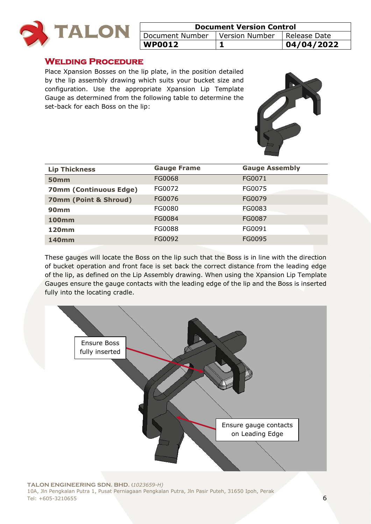

| <b>Document Version Control</b>                    |  |  |  |
|----------------------------------------------------|--|--|--|
| Document Number   Version Number<br>I Release Date |  |  |  |
| 04/04/2022<br><b>WP0012</b>                        |  |  |  |

#### **Welding Procedure**

Place Xpansion Bosses on the lip plate, in the position detailed by the lip assembly drawing which suits your bucket size and configuration. Use the appropriate Xpansion Lip Template Gauge as determined from the following table to determine the set-back for each Boss on the lip:



| <b>Lip Thickness</b>          | <b>Gauge Frame</b> | <b>Gauge Assembly</b> |
|-------------------------------|--------------------|-----------------------|
| <b>50mm</b>                   | FG0068             | FG0071                |
| <b>70mm (Continuous Edge)</b> | FG0072             | FG0075                |
| 70mm (Point & Shroud)         | FG0076             | FG0079                |
| <b>90mm</b>                   | FG0080             | FG0083                |
| <b>100mm</b>                  | FG0084             | FG0087                |
| <b>120mm</b>                  | FG0088             | FG0091                |
| <b>140mm</b>                  | FG0092             | FG0095                |

These gauges will locate the Boss on the lip such that the Boss is in line with the direction of bucket operation and front face is set back the correct distance from the leading edge of the lip, as defined on the Lip Assembly drawing. When using the Xpansion Lip Template Gauges ensure the gauge contacts with the leading edge of the lip and the Boss is inserted fully into the locating cradle.

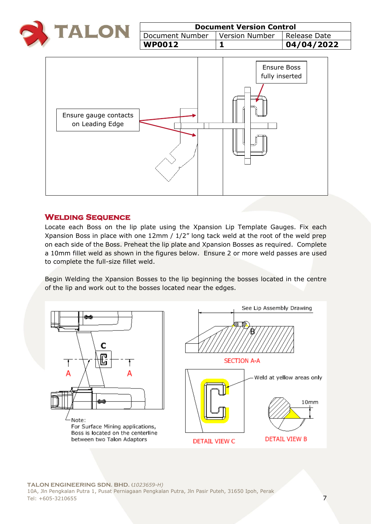

| <b>Document Version Control</b>                 |  |  |  |  |
|-------------------------------------------------|--|--|--|--|
| Document Number   Version Number   Release Date |  |  |  |  |
| 04/04/2022<br><b>WP0012</b>                     |  |  |  |  |



#### **Welding Sequence**

Locate each Boss on the lip plate using the Xpansion Lip Template Gauges. Fix each Xpansion Boss in place with one 12mm / 1/2" long tack weld at the root of the weld prep on each side of the Boss. Preheat the lip plate and Xpansion Bosses as required. Complete a 10mm fillet weld as shown in the figures below. Ensure 2 or more weld passes are used to complete the full-size fillet weld.

Begin Welding the Xpansion Bosses to the lip beginning the bosses located in the centre of the lip and work out to the bosses located near the edges.

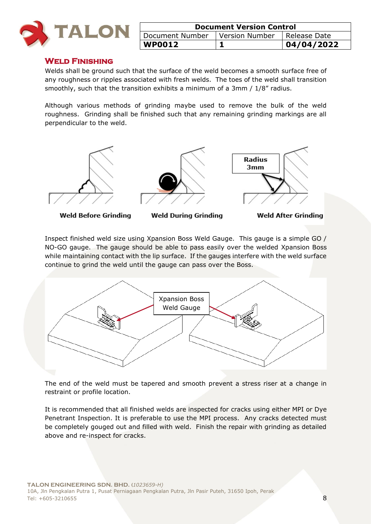

| <b>Document Version Control</b>                  |  |             |  |
|--------------------------------------------------|--|-------------|--|
| Version Number   Release Date<br>Document Number |  |             |  |
| <b>WP0012</b>                                    |  | 104/04/2022 |  |

#### **Weld Finishing**

Welds shall be ground such that the surface of the weld becomes a smooth surface free of any roughness or ripples associated with fresh welds. The toes of the weld shall transition smoothly, such that the transition exhibits a minimum of a 3mm / 1/8" radius.

Although various methods of grinding maybe used to remove the bulk of the weld roughness. Grinding shall be finished such that any remaining grinding markings are all perpendicular to the weld.



**Weld Before Grinding** 

**Weld During Grinding** 

**Weld After Grinding** 

Inspect finished weld size using Xpansion Boss Weld Gauge. This gauge is a simple GO / NO-GO gauge. The gauge should be able to pass easily over the welded Xpansion Boss while maintaining contact with the lip surface. If the gauges interfere with the weld surface continue to grind the weld until the gauge can pass over the Boss.



The end of the weld must be tapered and smooth prevent a stress riser at a change in restraint or profile location.

It is recommended that all finished welds are inspected for cracks using either MPI or Dye Penetrant Inspection. It is preferable to use the MPI process. Any cracks detected must be completely gouged out and filled with weld. Finish the repair with grinding as detailed above and re-inspect for cracks.